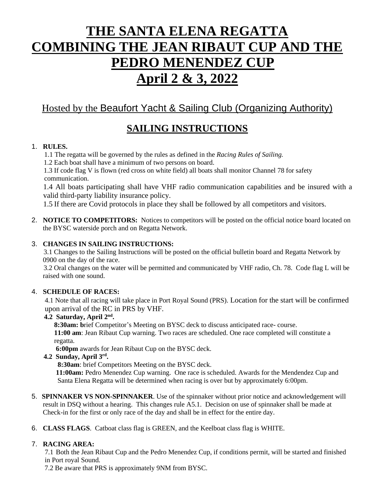# **THE SANTA ELENA REGATTA COMBINING THE JEAN RIBAUT CUP AND THE PEDRO MENENDEZ CUP April 2 & 3, 2022**

# Hosted by the Beaufort Yacht & Sailing Club (Organizing Authority)

# **SAILING INSTRUCTIONS**

#### 1. **RULES.**

1.1 The regatta will be governed by the rules as defined in the *Racing Rules of Sailing.*

1.2 Each boat shall have a minimum of two persons on board.

 1.3 If code flag V is flown (red cross on white field) all boats shall monitor Channel 78 for safety communication.

1.4 All boats participating shall have VHF radio communication capabilities and be insured with a valid third-party liability insurance policy.

1.5 If there are Covid protocols in place they shall be followed by all competitors and visitors.

2. **NOTICE TO COMPETITORS:** Notices to competitors will be posted on the official notice board located on the BYSC waterside porch and on Regatta Network.

#### 3. **CHANGES IN SAILING INSTRUCTIONS:**

3.1 Changes to the Sailing Instructions will be posted on the official bulletin board and Regatta Network by 0900 on the day of the race.

3.2 Oral changes on the water will be permitted and communicated by VHF radio, Ch. 78. Code flag L will be raised with one sound.

### 4. **SCHEDULE OF RACES:**

4.1 Note that all racing will take place in Port Royal Sound (PRS). Location for the start will be confirmed upon arrival of the RC in PRS by VHF.

#### **4.2 Saturday, April 2nd .**

**8:30am: b**rief Competitor's Meeting on BYSC deck to discuss anticipated race- course.

**11:00 am**: Jean Ribaut Cup warning. Two races are scheduled. One race completed will constitute a regatta.

**6:00pm** awards for Jean Ribaut Cup on the BYSC deck.

#### **4.2 Sunday, April 3rd .**

**8:30am**: brief Competitors Meeting on the BYSC deck.

**11:00am:** Pedro Menendez Cup warning. One race is scheduled. Awards for the Mendendez Cup and Santa Elena Regatta will be determined when racing is over but by approximately 6:00pm.

- 5. **SPINNAKER VS NON-SPINNAKER**. Use of the spinnaker without prior notice and acknowledgement will result in DSQ without a hearing. This changes rule A5.1. Decision on use of spinnaker shall be made at Check-in for the first or only race of the day and shall be in effect for the entire day.
- 6. **CLASS FLAGS**. Catboat class flag is GREEN, and the Keelboat class flag is WHITE.

### 7. **RACING AREA:**

7.1 Both the Jean Ribaut Cup and the Pedro Menendez Cup, if conditions permit, will be started and finished in Port royal Sound.

7.2 Be aware that PRS is approximately 9NM from BYSC.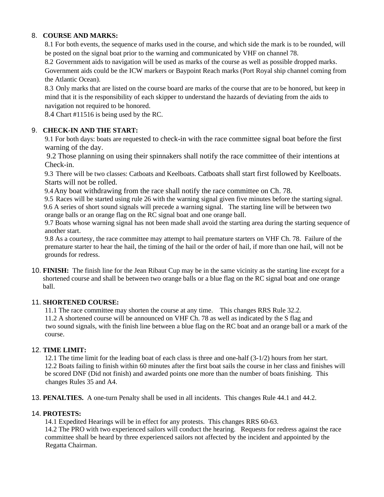#### 8. **COURSE AND MARKS:**

8.1 For both events, the sequence of marks used in the course, and which side the mark is to be rounded, will be posted on the signal boat prior to the warning and communicated by VHF on channel 78.

8.2 Government aids to navigation will be used as marks of the course as well as possible dropped marks. Government aids could be the ICW markers or Baypoint Reach marks (Port Royal ship channel coming from the Atlantic Ocean).

8.3 Only marks that are listed on the course board are marks of the course that are to be honored, but keep in mind that it is the responsibility of each skipper to understand the hazards of deviating from the aids to navigation not required to be honored.

8.4 Chart #11516 is being used by the RC.

#### 9. **CHECK-IN AND THE START:**

9.1 For both days: boats are requested to check-in with the race committee signal boat before the first warning of the day.

 9.2 Those planning on using their spinnakers shall notify the race committee of their intentions at Check-in.

9.3 There will be two classes: Catboats and Keelboats. Catboats shall start first followed by Keelboats. Starts will not be rolled.

9.4Any boat withdrawing from the race shall notify the race committee on Ch. 78.

9.5 Races will be started using rule 26 with the warning signal given five minutes before the starting signal. 9.6 A series of short sound signals will precede a warning signal. The starting line will be between two orange balls or an orange flag on the RC signal boat and one orange ball.

9.7 Boats whose warning signal has not been made shall avoid the starting area during the starting sequence of another start.

9.8 As a courtesy, the race committee may attempt to hail premature starters on VHF Ch. 78. Failure of the premature starter to hear the hail, the timing of the hail or the order of hail, if more than one hail, will not be grounds for redress.

10. **FINISH:** The finish line for the Jean Ribaut Cup may be in the same vicinity as the starting line except for a shortened course and shall be between two orange balls or a blue flag on the RC signal boat and one orange ball.

#### 11. **SHORTENED COURSE:**

11.1 The race committee may shorten the course at any time. This changes RRS Rule 32.2.

11.2 A shortened course will be announced on VHF Ch. 78 as well as indicated by the S flag and two sound signals, with the finish line between a blue flag on the RC boat and an orange ball or a mark of the course.

#### 12. **TIME LIMIT:**

12.1 The time limit for the leading boat of each class is three and one-half (3-1/2) hours from her start. 12.2 Boats failing to finish within 60 minutes after the first boat sails the course in her class and finishes will be scored DNF (Did not finish) and awarded points one more than the number of boats finishing. This changes Rules 35 and A4.

13. **PENALTIES.** A one-turn Penalty shall be used in all incidents. This changes Rule 44.1 and 44.2.

#### 14. **PROTESTS:**

14.1 Expedited Hearings will be in effect for any protests. This changes RRS 60-63.

14.2 The PRO with two experienced sailors will conduct the hearing. Requests for redress against the race committee shall be heard by three experienced sailors not affected by the incident and appointed by the Regatta Chairman.